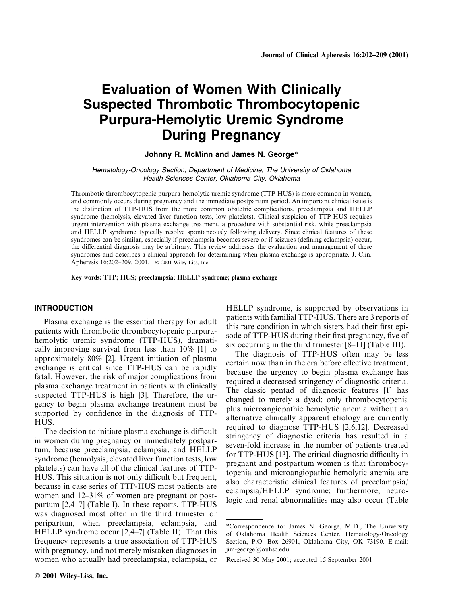# **Evaluation of Women With Clinically Suspected Thrombotic Thrombocytopenic Purpura-Hemolytic Uremic Syndrome During Pregnancy**

Johnny R. McMinn and James N. George\*

Hematology-Oncology Section, Department of Medicine, The University of Oklahoma Health Sciences Center, Oklahoma City, Oklahoma

Thrombotic thrombocytopenic purpura-hemolytic uremic syndrome (TTP-HUS) is more common in women, and commonly occurs during pregnancy and the immediate postpartum period. An important clinical issue is the distinction of TTP-HUS from the more common obstetric complications, preeclampsia and HELLP syndrome (hemolysis, elevated liver function tests, low platelets). Clinical suspicion of TTP-HUS requires urgent intervention with plasma exchange treatment, a procedure with substantial risk, while preeclampsia and HELLP syndrome typically resolve spontaneously following delivery. Since clinical features of these syndromes can be similar, especially if preeclampsia becomes severe or if seizures (defining eclampsia) occur, the differential diagnosis may be arbitrary. This review addresses the evaluation and management of these syndromes and describes a clinical approach for determining when plasma exchange is appropriate. J. Clin. Apheresis 16:202-209, 2001. © 2001 Wiley-Liss, Inc.

Key words: TTP; HUS; preeclampsia; HELLP syndrome; plasma exchange

#### **INTRODUCTION**

Plasma exchange is the essential therapy for adult patients with thrombotic thrombocytopenic purpurahemolytic uremic syndrome (TTP-HUS), dramatically improving survival from less than 10% [1] to approximately 80% [2]. Urgent initiation of plasma exchange is critical since TTP-HUS can be rapidly fatal. However, the risk of major complications from plasma exchange treatment in patients with clinically suspected TTP-HUS is high [3]. Therefore, the urgency to begin plasma exchange treatment must be supported by confidence in the diagnosis of TTP-HUS.

The decision to initiate plasma exchange is difficult in women during pregnancy or immediately postpartum, because preeclampsia, eclampsia, and HELLP syndrome (hemolysis, elevated liver function tests, low platelets) can have all of the clinical features of TTP-HUS. This situation is not only difficult but frequent, because in case series of TTP-HUS most patients are women and  $12-31\%$  of women are pregnant or postpartum [2,4–7] (Table I). In these reports, TTP-HUS was diagnosed most often in the third trimester or peripartum, when preeclampsia, eclampsia, and HELLP syndrome occur  $[2,4-7]$  (Table II). That this frequency represents a true association of TTP-HUS with pregnancy, and not merely mistaken diagnoses in women who actually had preeclampsia, eclampsia, or

HELLP syndrome, is supported by observations in patients with familial TTP-HUS. There are 3 reports of this rare condition in which sisters had their first episode of TTP-HUS during their first pregnancy, five of six occurring in the third trimester  $[8-11]$  (Table III).

The diagnosis of TTP-HUS often may be less certain now than in the era before effective treatment, because the urgency to begin plasma exchange has required a decreased stringency of diagnostic criteria. The classic pentad of diagnostic features [1] has changed to merely a dyad: only thrombocytopenia plus microangiopathic hemolytic anemia without an alternative clinically apparent etiology are currently required to diagnose TTP-HUS [2,6,12]. Decreased stringency of diagnostic criteria has resulted in a seven-fold increase in the number of patients treated for TTP-HUS [13]. The critical diagnostic difficulty in pregnant and postpartum women is that thrombocytopenia and microangiopathic hemolytic anemia are also characteristic clinical features of preeclampsia/ eclampsia/HELLP syndrome; furthermore, neurologic and renal abnormalities may also occur (Table

<sup>\*</sup>Correspondence to: James N. George, M.D., The University of Oklahoma Health Sciences Center, Hematology-Oncology Section, P.O. Box 26901, Oklahoma City, OK 73190. E-mail: jim-george@ouhsc.edu

Received 30 May 2001; accepted 15 September 2001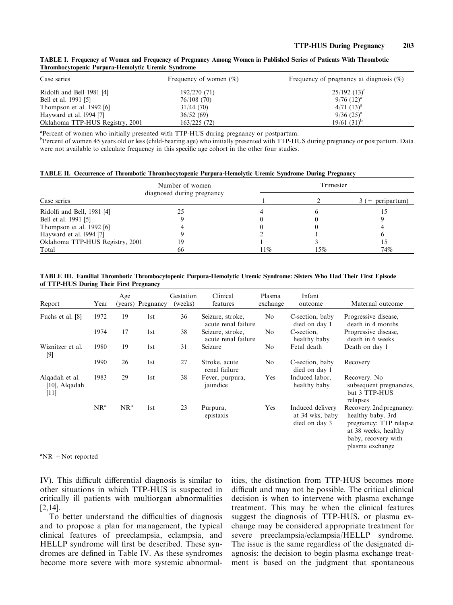| TABLE I. Frequency of Women and Frequency of Pregnancy Among Women in Published Series of Patients With Thrombotic |
|--------------------------------------------------------------------------------------------------------------------|
| Thrombocytopenic Purpura-Hemolytic Uremic Syndrome                                                                 |
|                                                                                                                    |

| Case series                     | Frequency of women $(\%)$ | Frequency of pregnancy at diagnosis $(\%)$ |  |  |
|---------------------------------|---------------------------|--------------------------------------------|--|--|
| Ridolfi and Bell 1981 [4]       | 192/270 (71)              | $25/192$ $(13)^a$                          |  |  |
| Bell et al. 1991 [5]            | 76/108 (70)               | $9/76$ $(12)^a$                            |  |  |
| Thompson et al. 1992 [6]        | 31/44(70)                 | $4/71$ $(13)^a$                            |  |  |
| Hayward et al. 1994 [7]         | 36/52(69)                 | $9/36$ $(25)^a$                            |  |  |
| Oklahoma TTP-HUS Registry, 2001 | 163/225(72)               | $19/61(31)^{b}$                            |  |  |

<sup>a</sup>Percent of women who initially presented with TTP-HUS during pregnancy or postpartum.

<sup>b</sup>Percent of women 45 years old or less (child-bearing age) who initially presented with TTP-HUS during pregnancy or postpartum. Data were not available to calculate frequency in this specific age cohort in the other four studies.

| TABLE II. Occurrence of Thrombotic Thrombocytopenic Purpura-Hemolytic Uremic Syndrome During Pregnancy |  |  |  |
|--------------------------------------------------------------------------------------------------------|--|--|--|
|                                                                                                        |  |  |  |

|                                 | Number of women            |     | Trimester |             |
|---------------------------------|----------------------------|-----|-----------|-------------|
| Case series                     | diagnosed during pregnancy |     |           | peripartum) |
| Ridolfi and Bell, 1981 [4]      | 25                         |     |           |             |
| Bell et al. 1991 [5]            |                            |     |           |             |
| Thompson et al. 1992 [6]        |                            |     |           |             |
| Hayward et al. 1994 [7]         |                            |     |           |             |
| Oklahoma TTP-HUS Registry, 2001 | 19                         |     |           |             |
| Total                           | 66                         | 11% | 15%       | 74%         |

TABLE III. Familial Thrombotic Thrombocytopenic Purpura-Hemolytic Uremic Syndrome: Sisters Who Had Their First Episode of TTP-HUS During Their First Pregnancy

| Report                                    | Year            | Age             | (years) Pregnancy | Gestation<br>(weeks) | Clinical<br>features                    | Plasma<br>exchange | Infant<br>outcome                                    | Maternal outcome                                                                                                                          |
|-------------------------------------------|-----------------|-----------------|-------------------|----------------------|-----------------------------------------|--------------------|------------------------------------------------------|-------------------------------------------------------------------------------------------------------------------------------------------|
| Fuchs et al. [8]                          | 1972            | 19              | 1st               | 36                   | Seizure, stroke,<br>acute renal failure | No                 | C-section, baby<br>died on day 1                     | Progressive disease,<br>death in 4 months                                                                                                 |
|                                           | 1974            | 17              | 1st               | 38                   | Seizure, stroke,<br>acute renal failure | No                 | C-section,<br>healthy baby                           | Progressive disease,<br>death in 6 weeks                                                                                                  |
| Wiznitzer et al.<br>$[9]$                 | 1980            | 19              | 1st               | 31                   | Seizure                                 | N <sub>0</sub>     | Fetal death                                          | Death on day 1                                                                                                                            |
|                                           | 1990            | 26              | 1st               | 27                   | Stroke, acute<br>renal failure          | No                 | C-section, baby<br>died on day 1                     | Recovery                                                                                                                                  |
| Algadah et al.<br>[10], Alqadah<br>$[11]$ | 1983            | 29              | 1st               | 38                   | Fever, purpura,<br>jaundice             | Yes                | Induced labor,<br>healthy baby                       | Recovery. No<br>subsequent pregnancies,<br>but 3 TTP-HUS<br>relapses                                                                      |
|                                           | NR <sup>a</sup> | NR <sup>a</sup> | 1st               | 23                   | Purpura,<br>epistaxis                   | Yes                | Induced delivery<br>at 34 wks, baby<br>died on day 3 | Recovery. 2nd pregnancy:<br>healthy baby. 3rd<br>pregnancy: TTP relapse<br>at 38 weeks, healthy<br>baby, recovery with<br>plasma exchange |

 ${}^a$ NR = Not reported

IV). This difficult differential diagnosis is similar to other situations in which TTP-HUS is suspected in critically ill patients with multiorgan abnormalities  $[2, 14]$ .

To better understand the difficulties of diagnosis and to propose a plan for management, the typical clinical features of preeclampsia, eclampsia, and HELLP syndrome will first be described. These syndromes are defined in Table IV. As these syndromes become more severe with more systemic abnormalities, the distinction from TTP-HUS becomes more difficult and may not be possible. The critical clinical decision is when to intervene with plasma exchange treatment. This may be when the clinical features suggest the diagnosis of TTP-HUS, or plasma exchange may be considered appropriate treatment for severe preeclampsia/eclampsia/HELLP syndrome. The issue is the same regardless of the designated diagnosis: the decision to begin plasma exchange treatment is based on the judgment that spontaneous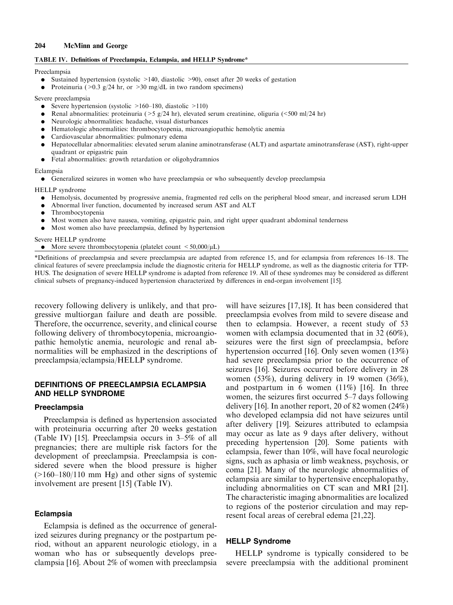#### 204 **McMinn and George**

### TABLE IV. Definitions of Preeclampsia, Eclampsia, and HELLP Syndrome\*

#### Preeclampsia

- Sustained hypertension (systolic  $>140$ , diastolic  $>90$ ), onset after 20 weeks of gestation
- Proteinuria ( $>0.3$  g/24 hr, or  $>30$  mg/dL in two random specimens)

#### Severe preeclampsia

- Severe hypertension (systolic  $>160-180$ , diastolic  $>110$ )
- Renal abnormalities: proteinuria (>5 g/24 hr), elevated serum creatinine, oliguria (<500 ml/24 hr)
- Neurologic abnormalities: headache, visual disturbances
- Hematologic abnormalities: thrombocytopenia, microangiopathic hemolytic anemia
- Cardiovascular abnormalities: pulmonary edema
- $\bullet$ Hepatocellular abnormalities: elevated serum alanine aminotransferase (ALT) and aspartate aminotransferase (AST), right-upper quadrant or epigastric pain
- Fetal abnormalities: growth retardation or oligohydramnios

#### Eclampsia

• Generalized seizures in women who have preeclampsia or who subsequently develop preeclampsia

**HELLP** syndrome

- Hemolysis, documented by progressive anemia, fragmented red cells on the peripheral blood smear, and increased serum LDH
- Abnormal liver function, documented by increased serum AST and ALT
- Thrombocytopenia  $\bullet$
- Most women also have nausea, vomiting, epigastric pain, and right upper quadrant abdominal tenderness
- Most women also have preeclampsia, defined by hypertension

Severe HELLP syndrome

• More severe thrombocytopenia (platelet count  $\lt 50,000/\mu L$ )

\*Definitions of preeclampsia and severe preeclampsia are adapted from reference 15, and for eclampsia from references 16–18. The clinical features of severe preeclampsia include the diagnostic criteria for HELLP syndrome, as well as the diagnostic criteria for TTP-HUS. The designation of severe HELLP syndrome is adapted from reference 19. All of these syndromes may be considered as different clinical subsets of pregnancy-induced hypertension characterized by differences in end-organ involvement [15].

recovery following delivery is unlikely, and that progressive multiorgan failure and death are possible. Therefore, the occurrence, severity, and clinical course following delivery of thrombocytopenia, microangiopathic hemolytic anemia, neurologic and renal abnormalities will be emphasized in the descriptions of preeclampsia/eclampsia/HELLP syndrome.

# **DEFINITIONS OF PREECLAMPSIA ECLAMPSIA AND HELLP SYNDROME**

# Preeclampsia

Preeclampsia is defined as hypertension associated with proteinuria occurring after 20 weeks gestation (Table IV) [15]. Preeclampsia occurs in 3–5% of all pregnancies; there are multiple risk factors for the development of preeclampsia. Preeclampsia is considered severe when the blood pressure is higher  $(>160-180/110$  mm Hg) and other signs of systemic involvement are present [15] (Table IV).

### **Eclampsia**

Eclampsia is defined as the occurrence of generalized seizures during pregnancy or the postpartum period, without an apparent neurologic etiology, in a woman who has or subsequently develops preeclampsia [16]. About 2% of women with preeclampsia

will have seizures  $[17,18]$ . It has been considered that preeclampsia evolves from mild to severe disease and then to eclampsia. However, a recent study of 53 women with eclampsia documented that in  $32(60\%)$ , seizures were the first sign of preeclampsia, before hypertension occurred [16]. Only seven women  $(13\%)$ had severe preeclampsia prior to the occurrence of seizures [16]. Seizures occurred before delivery in 28 women  $(53\%)$ , during delivery in 19 women  $(36\%)$ , and postpartum in 6 women  $(11\%)$  [16]. In three women, the seizures first occurred  $5-7$  days following delivery [16]. In another report, 20 of 82 women  $(24%)$ who developed eclampsia did not have seizures until after delivery [19]. Seizures attributed to eclampsia may occur as late as 9 days after delivery, without preceding hypertension [20]. Some patients with eclampsia, fewer than 10%, will have focal neurologic signs, such as aphasia or limb weakness, psychosis, or coma [21]. Many of the neurologic abnormalities of eclampsia are similar to hypertensive encephalopathy, including abnormalities on CT scan and MRI [21]. The characteristic imaging abnormalities are localized to regions of the posterior circulation and may represent focal areas of cerebral edema [21,22].

# **HELLP Syndrome**

HELLP syndrome is typically considered to be severe preeclampsia with the additional prominent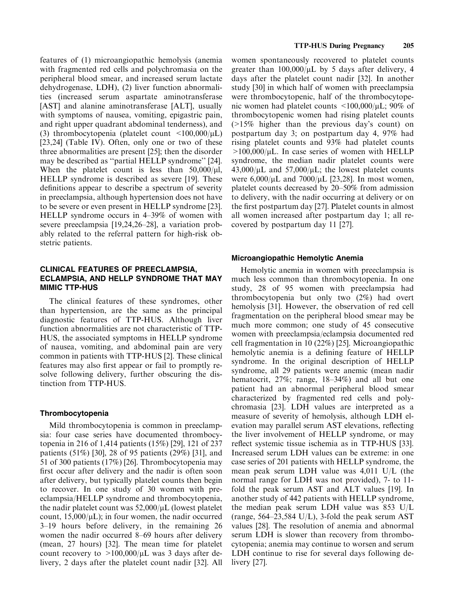features of (1) microangiopathic hemolysis (anemia with fragmented red cells and polychromasia on the peripheral blood smear, and increased serum lactate dehydrogenase, LDH), (2) liver function abnormalities (increased serum aspartate aminotransferase [AST] and alanine aminotransferase [ALT], usually with symptoms of nausea, vomiting, epigastric pain, and right upper quadrant abdominal tenderness), and (3) thrombocytopenia (platelet count  $\langle 100,000/\mu L \rangle$ [23,24] (Table IV). Often, only one or two of these three abnormalities are present  $[25]$ ; then the disorder may be described as "partial HELLP syndrome" [24]. When the platelet count is less than  $50,000/\mu l$ , HELLP syndrome is described as severe [19]. These definitions appear to describe a spectrum of severity in preeclampsia, although hypertension does not have to be severe or even present in HELLP syndrome [23]. HELLP syndrome occurs in 4–39% of women with severe preeclampsia [19,24,26-28], a variation probably related to the referral pattern for high-risk obstetric patients.

# **CLINICAL FEATURES OF PREECLAMPSIA, ECLAMPSIA. AND HELLP SYNDROME THAT MAY MIMIC TTP-HUS**

The clinical features of these syndromes, other than hypertension, are the same as the principal diagnostic features of TTP-HUS. Although liver function abnormalities are not characteristic of TTP-HUS, the associated symptoms in HELLP syndrome of nausea, vomiting, and abdominal pain are very common in patients with TTP-HUS [2]. These clinical features may also first appear or fail to promptly resolve following delivery, further obscuring the distinction from TTP-HUS.

# Thrombocytopenia

Mild thrombocytopenia is common in preeclampsia: four case series have documented thrombocytopenia in 216 of 1,414 patients (15%) [29], 121 of 237 patients (51%) [30], 28 of 95 patients (29%) [31], and 51 of 300 patients (17%) [26]. Thrombocytopenia may first occur after delivery and the nadir is often soon after delivery, but typically platelet counts then begin to recover. In one study of 30 women with preeclampsia/HELLP syndrome and thrombocytopenia, the nadir platelet count was  $52,000/\mu L$  (lowest platelet count,  $15,000/\mu L$ ); in four women, the nadir occurred 3–19 hours before delivery, in the remaining 26 women the nadir occurred 8–69 hours after delivery (mean, 27 hours) [32]. The mean time for platelet count recovery to  $>100,000/\mu L$  was 3 days after delivery, 2 days after the platelet count nadir [32]. All women spontaneously recovered to platelet counts greater than  $100,000/\mu L$  by 5 days after delivery, 4 days after the platelet count nadir [32]. In another study [30] in which half of women with preeclampsia were thrombocytopenic, half of the thrombocytopenic women had platelet counts  $\langle 100,000/\mu L; 90\% \rangle$  of thrombocytopenic women had rising platelet counts  $($ >15% higher than the previous day's count) on postpartum day 3; on postpartum day 4, 97% had rising platelet counts and 93% had platelet counts  $>100,000/\mu L$ . In case series of women with HELLP syndrome, the median nadir platelet counts were  $43,000/\mu L$  and  $57,000/\mu L$ ; the lowest platelet counts were  $6,000/\mu L$  and  $7000/\mu L$  [23,28]. In most women, platelet counts decreased by 20–50% from admission to delivery, with the nadir occurring at delivery or on the first postpartum day [27]. Platelet counts in almost all women increased after postpartum day 1; all recovered by postpartum day 11 [27].

### Microangiopathic Hemolytic Anemia

Hemolytic anemia in women with preeclampsia is much less common than thrombocytopenia. In one study, 28 of 95 women with preeclampsia had thrombocytopenia but only two (2%) had overt hemolysis [31]. However, the observation of red cell fragmentation on the peripheral blood smear may be much more common; one study of 45 consecutive women with preeclampsia/eclampsia documented red cell fragmentation in 10 (22%) [25]. Microangiopathic hemolytic anemia is a defining feature of HELLP syndrome. In the original description of HELLP syndrome, all 29 patients were anemic (mean nadir hematocrit,  $27\%$ ; range,  $18-34\%$ ) and all but one patient had an abnormal peripheral blood smear characterized by fragmented red cells and polychromasia [23]. LDH values are interpreted as a measure of severity of hemolysis, although LDH elevation may parallel serum AST elevations, reflecting the liver involvement of HELLP syndrome, or may reflect systemic tissue ischemia as in TTP-HUS [33]. Increased serum LDH values can be extreme: in one case series of 201 patients with HELLP syndrome, the mean peak serum LDH value was 4,011 U/L (the normal range for LDH was not provided), 7- to 11fold the peak serum AST and ALT values [19]. In another study of 442 patients with HELLP syndrome, the median peak serum LDH value was 853 U/L (range,  $564-23,584$  U/L), 3-fold the peak serum AST values [28]. The resolution of anemia and abnormal serum LDH is slower than recovery from thrombocytopenia; anemia may continue to worsen and serum LDH continue to rise for several days following delivery  $[27]$ .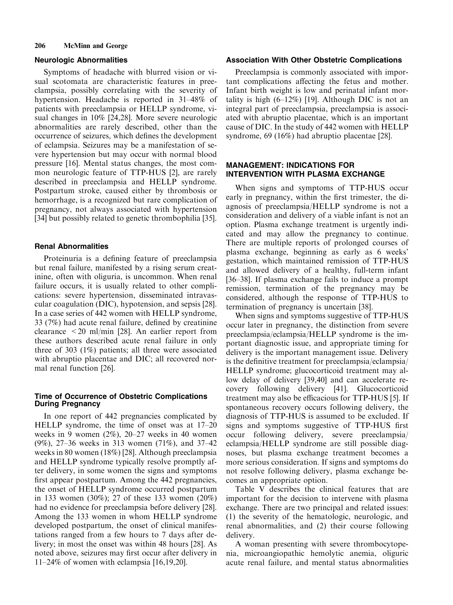#### 206 **McMinn and George**

#### **Neurologic Abnormalities**

Symptoms of headache with blurred vision or visual scotomata are characteristic features in preeclampsia, possibly correlating with the severity of hypertension. Headache is reported in 31–48% of patients with preeclampsia or HELLP syndrome, visual changes in 10% [24,28]. More severe neurologic abnormalities are rarely described, other than the occurrence of seizures, which defines the development of eclampsia. Seizures may be a manifestation of severe hypertension but may occur with normal blood pressure [16]. Mental status changes, the most common neurologic feature of TTP-HUS [2], are rarely described in preeclampsia and HELLP syndrome. Postpartum stroke, caused either by thrombosis or hemorrhage, is a recognized but rare complication of pregnancy, not always associated with hypertension [34] but possibly related to genetic thrombophilia [35].

#### **Renal Abnormalities**

Proteinuria is a defining feature of preeclampsia but renal failure, manifested by a rising serum creatinine, often with oliguria, is uncommon. When renal failure occurs, it is usually related to other complications: severe hypertension, disseminated intravascular coagulation (DIC), hypotension, and sepsis [28]. In a case series of 442 women with HELLP syndrome, 33 (7%) had acute renal failure, defined by creatinine clearance  $\leq$  20 ml/min [28]. An earlier report from these authors described acute renal failure in only three of 303  $(1\%)$  patients; all three were associated with abruptio placentae and DIC; all recovered normal renal function [26].

# Time of Occurrence of Obstetric Complications **During Pregnancy**

In one report of 442 pregnancies complicated by HELLP syndrome, the time of onset was at  $17-20$ weeks in 9 women  $(2\%)$ ,  $20-27$  weeks in 40 women (9%), 27–36 weeks in 313 women (71%), and 37–42 weeks in 80 women (18%) [28]. Although preeclampsia and HELLP syndrome typically resolve promptly after delivery, in some women the signs and symptoms first appear postpartum. Among the 442 pregnancies, the onset of HELLP syndrome occurred postpartum in 133 women  $(30\%)$ ; 27 of these 133 women  $(20\%)$ had no evidence for preeclampsia before delivery [28]. Among the 133 women in whom HELLP syndrome developed postpartum, the onset of clinical manifestations ranged from a few hours to 7 days after delivery; in most the onset was within 48 hours [28]. As noted above, seizures may first occur after delivery in  $11-24\%$  of women with eclampsia [16,19,20].

#### **Association With Other Obstetric Complications**

Preeclampsia is commonly associated with important complications affecting the fetus and mother. Infant birth weight is low and perinatal infant mortality is high  $(6-12\%)$  [19]. Although DIC is not an integral part of preeclampsia, preeclampsia is associated with abruptio placentae, which is an important cause of DIC. In the study of 442 women with HELLP syndrome, 69 (16%) had abruptio placentae [28].

# **MANAGEMENT: INDICATIONS FOR INTERVENTION WITH PLASMA EXCHANGE**

When signs and symptoms of TTP-HUS occur early in pregnancy, within the first trimester, the diagnosis of preeclampsia/HELLP syndrome is not a consideration and delivery of a viable infant is not an option. Plasma exchange treatment is urgently indicated and may allow the pregnancy to continue. There are multiple reports of prolonged courses of plasma exchange, beginning as early as 6 weeks' gestation, which maintained remission of TTP-HUS and allowed delivery of a healthy, full-term infant [36-38]. If plasma exchange fails to induce a prompt remission, termination of the pregnancy may be considered, although the response of TTP-HUS to termination of pregnancy is uncertain [38].

When signs and symptoms suggestive of TTP-HUS occur later in pregnancy, the distinction from severe preeclampsia/eclampsia/HELLP syndrome is the important diagnostic issue, and appropriate timing for delivery is the important management issue. Delivery is the definitive treatment for preeclampsia/eclampsia/ HELLP syndrome; glucocorticoid treatment may allow delay of delivery [39,40] and can accelerate recovery following delivery [41]. Glucocorticoid treatment may also be efficacious for TTP-HUS [5]. If spontaneous recovery occurs following delivery, the diagnosis of TTP-HUS is assumed to be excluded. If signs and symptoms suggestive of TTP-HUS first occur following delivery, severe preeclampsia/ eclampsia/HELLP syndrome are still possible diagnoses, but plasma exchange treatment becomes a more serious consideration. If signs and symptoms do not resolve following delivery, plasma exchange becomes an appropriate option.

Table V describes the clinical features that are important for the decision to intervene with plasma exchange. There are two principal and related issues: (1) the severity of the hematologic, neurologic, and renal abnormalities, and (2) their course following delivery.

A woman presenting with severe thrombocytopenia, microangiopathic hemolytic anemia, oliguric acute renal failure, and mental status abnormalities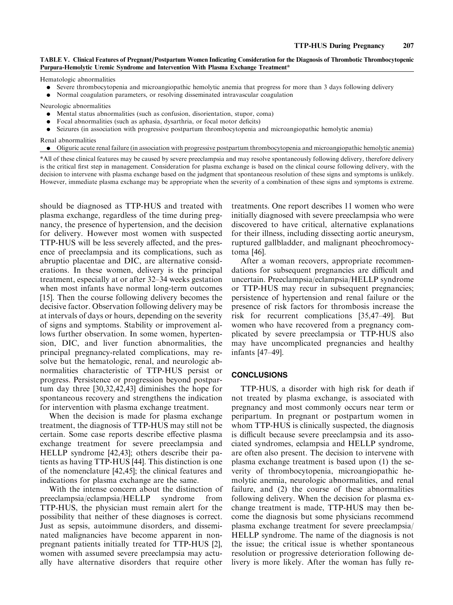#### TABLE V. Clinical Features of Pregnant/Postpartum Women Indicating Consideration for the Diagnosis of Thrombotic Thrombocytopenic Purpura-Hemolytic Uremic Syndrome and Intervention With Plasma Exchange Treatment\*

Hematologic abnormalities

- Severe thrombocytopenia and microangiopathic hemolytic anemia that progress for more than 3 days following delivery
- Normal coagulation parameters, or resolving disseminated intravascular coagulation

Neurologic abnormalities

- Mental status abnormalities (such as confusion, disorientation, stupor, coma)
- Focal abnormalities (such as aphasia, dysarthria, or focal motor deficits)
- Seizures (in association with progressive postpartum thrombocytopenia and microangiopathic hemolytic anemia)

Renal abnormalities

• Oliguric acute renal failure (in association with progressive postpartum thrombocytopenia and microangiopathic hemolytic anemia)

\*All of these clinical features may be caused by severe preeclampsia and may resolve spontaneously following delivery, therefore delivery is the critical first step in management. Consideration for plasma exchange is based on the clinical course following delivery, with the decision to intervene with plasma exchange based on the judgment that spontaneous resolution of these signs and symptoms is unlikely. However, immediate plasma exchange may be appropriate when the severity of a combination of these signs and symptoms is extreme.

should be diagnosed as TTP-HUS and treated with plasma exchange, regardless of the time during pregnancy, the presence of hypertension, and the decision for delivery. However most women with suspected TTP-HUS will be less severely affected, and the presence of preeclampsia and its complications, such as abruptio placentae and DIC, are alternative considerations. In these women, delivery is the principal treatment, especially at or after 32-34 weeks gestation when most infants have normal long-term outcomes [15]. Then the course following delivery becomes the decisive factor. Observation following delivery may be at intervals of days or hours, depending on the severity of signs and symptoms. Stability or improvement allows further observation. In some women, hypertension, DIC, and liver function abnormalities, the principal pregnancy-related complications, may resolve but the hematologic, renal, and neurologic abnormalities characteristic of TTP-HUS persist or progress. Persistence or progression beyond postpartum day three  $[30,32,42,43]$  diminishes the hope for spontaneous recovery and strengthens the indication for intervention with plasma exchange treatment.

When the decision is made for plasma exchange treatment, the diagnosis of TTP-HUS may still not be certain. Some case reports describe effective plasma exchange treatment for severe preeclampsia and HELLP syndrome [42,43]; others describe their patients as having TTP-HUS [44]. This distinction is one of the nomenclature [42,45]; the clinical features and indications for plasma exchange are the same.

With the intense concern about the distinction of syndrome preeclampsia/eclampsia/HELLP from TTP-HUS, the physician must remain alert for the possibility that neither of these diagnoses is correct. Just as sepsis, autoimmune disorders, and disseminated malignancies have become apparent in nonpregnant patients initially treated for TTP-HUS [2]. women with assumed severe preeclampsia may actually have alternative disorders that require other

treatments. One report describes 11 women who were initially diagnosed with severe preeclampsia who were discovered to have critical, alternative explanations for their illness, including dissecting aortic aneurysm, ruptured gallbladder, and malignant pheochromocytoma [46].

After a woman recovers, appropriate recommendations for subsequent pregnancies are difficult and uncertain. Preeclampsia/eclampsia/HELLP syndrome or TTP-HUS may recur in subsequent pregnancies; persistence of hypertension and renal failure or the presence of risk factors for thrombosis increase the risk for recurrent complications [35,47–49]. But women who have recovered from a pregnancy complicated by severe preeclampsia or TTP-HUS also may have uncomplicated pregnancies and healthy infants [47–49].

#### **CONCLUSIONS**

TTP-HUS, a disorder with high risk for death if not treated by plasma exchange, is associated with pregnancy and most commonly occurs near term or peripartum. In pregnant or postpartum women in whom TTP-HUS is clinically suspected, the diagnosis is difficult because severe preeclampsia and its associated syndromes, eclampsia and HELLP syndrome, are often also present. The decision to intervene with plasma exchange treatment is based upon (1) the severity of thrombocytopenia, microangiopathic hemolytic anemia, neurologic abnormalities, and renal failure, and (2) the course of these abnormalities following delivery. When the decision for plasma exchange treatment is made, TTP-HUS may then become the diagnosis but some physicians recommend plasma exchange treatment for severe preeclampsia HELLP syndrome. The name of the diagnosis is not the issue; the critical issue is whether spontaneous resolution or progressive deterioration following delivery is more likely. After the woman has fully re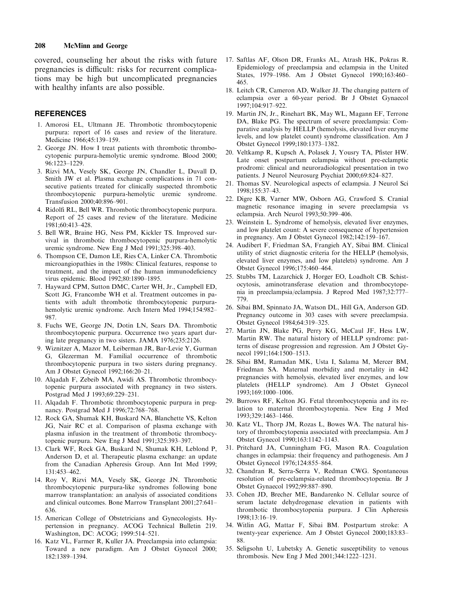208 **McMinn and George** 

covered, counseling her about the risks with future pregnancies is difficult: risks for recurrent complications may be high but uncomplicated pregnancies with healthy infants are also possible.

### **REFERENCES**

- 1. Amorosi EL, Ultmann JE. Thrombotic thrombocytopenic purpura: report of 16 cases and review of the literature. Medicine 1966;45:139-159.
- 2. George JN. How I treat patients with thrombotic thrombocytopenic purpura-hemolytic uremic syndrome. Blood 2000; 96:1223-1229.
- 3. Rizvi MA, Vesely SK, George JN, Chandler L, Duvall D, Smith JW et al. Plasma exchange complications in 71 consecutive patients treated for clinically suspected thrombotic thrombocytopenic purpura-hemolytic uremic syndrome. Transfusion 2000;40:896-901.
- 4. Ridolfi RL, Bell WR. Thrombotic thrombocytopenic purpura. Report of 25 cases and review of the literature. Medicine 1981;60:413-428.
- 5. Bell WR, Braine HG, Ness PM, Kickler TS. Improved survival in thrombotic thrombocytopenic purpura-hemolytic uremic syndrome. New Eng J Med 1991;325:398-403.
- 6. Thompson CE, Damon LE, Ries CA, Linker CA. Thrombotic microangiopathies in the 1980s: Clinical features, response to treatment, and the impact of the human immunodeficiency virus epidemic. Blood 1992;80:1890-1895.
- 7. Hayward CPM, Sutton DMC, Carter WH, Jr., Campbell ED, Scott JG, Francombe WH et al. Treatment outcomes in patients with adult thrombotic thrombocytopenic purpurahemolytic uremic syndrome. Arch Intern Med 1994;154:982-987.
- 8. Fuchs WE, George JN, Dotin LN, Sears DA. Thrombotic thrombocytopenic purpura. Occurrence two years apart during late pregnancy in two sisters. JAMA 1976;235:2126.
- 9. Wiznitzer A, Mazor M, Leiberman JR, Bar-Levie Y, Gurman G, Glezerman M. Familial occurrence of thrombotic thrombocytopenic purpura in two sisters during pregnancy. Am J Obstet Gynecol 1992;166:20-21.
- 10. Alqadah F, Zebeib MA, Awidi AS. Thrombotic thrombocytopenic purpura associated with pregnancy in two sisters. Postgrad Med J 1993;69:229-231.
- 11. Alqadah F. Thrombotic thrombocytopenic purpura in pregnancy. Postgrad Med J 1996;72:768-768.
- 12. Rock GA, Shumak KH, Buskard NA, Blanchette VS, Kelton JG, Nair RC et al. Comparison of plasma exchange with plasma infusion in the treatment of thrombotic thrombocytopenic purpura. New Eng J Med 1991;325:393-397.
- 13. Clark WF, Rock GA, Buskard N, Shumak KH, Leblond P, Anderson D, et al. Therapeutic plasma exchange: an update from the Canadian Apheresis Group. Ann Int Med 1999; 131:453-462.
- 14. Roy V, Rizvi MA, Vesely SK, George JN. Thrombotic thrombocytopenic purpura-like syndromes following bone marrow transplantation: an analysis of associated conditions and clinical outcomes. Bone Marrow Transplant 2001;27:641-636.
- 15. American College of Obstetricians and Gynecologists. Hypertension in pregnancy. ACOG Technical Bulletin 219. Washington, DC: ACOG; 1999:514-521.
- 16. Katz VL, Farmer R, Kuller JA. Preeclampsia into eclampsia: Toward a new paradigm. Am J Obstet Gynecol 2000; 182:1389-1394.
- 17. Saftlas AF, Olson DR, Franks AL, Atrash HK, Pokras R. Epidemiology of preeclampsia and eclampsia in the United States, 1979-1986. Am J Obstet Gynecol 1990;163:460-465.
- 18. Leitch CR, Cameron AD, Walker JJ. The changing pattern of eclampsia over a 60-year period. Br J Obstet Gynaecol 1997;104:917-922.
- 19. Martin JN, Jr., Rinehart BK, May WL, Magann EF, Terrone DA, Blake PG. The spectrum of severe preeclampsia: Comparative analysis by HELLP (hemolysis, elevated liver enzyme levels, and low platelet count) syndrome classification. Am J Obstet Gynecol 1999;180:1373-1382.
- 20. Veltkamp R, Kupsch A, Polasek J, Yousry TA, Pfister HW. Late onset postpartum eclampsia without pre-eclamptic prodromi: clinical and neuroradiological presentation in two patients. J Neurol Neurosurg Psychiat 2000;69:824-827.
- 21. Thomas SV. Neurological aspects of eclampsia. J Neurol Sci 1998;155:37-43.
- 22. Digre KB, Varner MW, Osborn AG, Crawford S. Cranial magnetic resonance imaging in severe preeclampsia vs eclampsia. Arch Neurol 1993;50:399-406.
- 23. Weinstein L. Syndrome of hemolysis, elevated liver enzymes, and low platelet count: A severe consequence of hypertension in pregnancy. Am J Obstet Gynecol 1982;142:159-167.
- 24. Audibert F, Friedman SA, Frangieh AY, Sibai BM. Clinical utility of strict diagnostic criteria for the HELLP (hemolysis, elevated liver enzymes, and low platelets) syndrome. Am J Obstet Gynecol 1996;175:460-464.
- 25. Stubbs TM, Lazarchick J, Horger EO, Loadholt CB. Schistocytosis, aminotransferase elevation and thrombocytopenia in preeclampsia/eclampsia. J Reprod Med 1987;32:777-779.
- 26. Sibai BM, Spinnato JA, Watson DL, Hill GA, Anderson GD. Pregnancy outcome in 303 cases with severe preeclampsia. Obstet Gynecol 1984;64:319-325.
- 27. Martin JN, Blake PG, Perry KG, McCaul JF, Hess LW, Martin RW. The natural history of HELLP syndrome: patterns of disease progression and regression. Am J Obstet Gynecol 1991;164:1500-1513.
- 28. Sibai BM, Ramadan MK, Usta I, Salama M, Mercer BM, Friedman SA. Maternal morbidity and mortality in 442 pregnancies with hemolysis, elevated liver enzymes, and low platelets (HELLP syndrome). Am J Obstet Gynecol 1993;169:1000-1006.
- 29. Burrows RF, Kelton JG. Fetal thrombocytopenia and its relation to maternal thrombocytopenia. New Eng J Med 1993;329:1463-1466.
- 30. Katz VL, Thorp JM, Rozas L, Bowes WA. The natural history of thrombocytopenia associated with preeclampsia. Am J Obstet Gynecol 1990;163:1142-1143.
- 31. Pritchard JA, Cunningham FG, Mason RA. Coagulation changes in eclampsia: their frequency and pathogenesis. Am J Obstet Gynecol 1976;124:855-864.
- 32. Chandran R, Serra-Serra V, Redman CWG. Spontaneous resolution of pre-eclampsia-related thrombocytopenia. Br J Obstet Gynaecol 1992;99:887-890.
- 33. Cohen JD, Brecher ME, Bandarenko N. Cellular source of serum lactate dehydrogenase elevation in patients with thrombotic thrombocytopenia purpura. J Clin Apheresis 1998;13:16-19.
- 34. Witlin AG, Mattar F, Sibai BM. Postpartum stroke: A twenty-year experience. Am J Obstet Gynecol 2000;183:83-
- 35. Seligsohn U, Lubetsky A. Genetic susceptibility to venous thrombosis. New Eng J Med 2001;344:1222-1231.